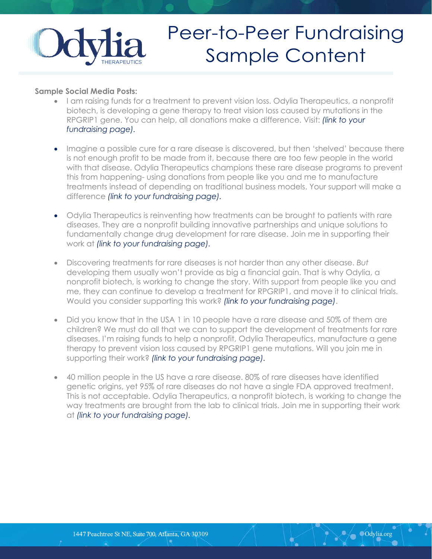

## Peer-to-Peer Fundraising Sample Content

## **Sample Social Media Posts:**

- I am raising funds for a treatment to prevent vision loss. Odylia Therapeutics, a nonprofit biotech, is developing a gene therapy to treat vision loss caused by mutations in the RPGRIP1 gene. You can help, all donations make a difference. Visit: *(link to your fundraising page).*
- Imagine a possible cure for a rare disease is discovered, but then 'shelved' because there is not enough profit to be made from it, because there are too few people in the world with that disease. Odylia Therapeutics champions these rare disease programs to prevent this from happening- using donations from people like you and me to manufacture treatments instead of depending on traditional business models. Your support will make a difference *(link to your fundraising page).*
- Odylia Therapeutics is reinventing how treatments can be brought to patients with rare diseases. They are a nonprofit building innovative partnerships and unique solutions to fundamentally change drug development for rare disease. Join me in supporting their work at *(link to your fundraising page).*
- Discovering treatments for rare diseases is not harder than any other disease. *But* developing them usually won't provide as big a financial gain. That is why Odylia, a nonprofit biotech, is working to change the story. With support from people like you and me, they can continue to develop a treatment for RPGRIP1, and move it to clinical trials. Would you consider supporting this work? *(link to your fundraising page)*.
- Did you know that in the USA 1 in 10 people have a rare disease and 50% of them are children? We must do all that we can to support the development of treatments for rare diseases. I'm raising funds to help a nonprofit, Odylia Therapeutics, manufacture a gene therapy to prevent vision loss caused by RPGRIP1 gene mutations. Will you join me in supporting their work? *(link to your fundraising page).*
- 40 million people in the US have a rare disease. 80% of rare diseases have identified genetic origins, yet 95% of rare diseases do not have a single FDA approved treatment. This is not acceptable. Odylia Therapeutics, a nonprofit biotech, is working to change the way treatments are brought from the lab to clinical trials. Join me in supporting their work at *(link to your fundraising page).*

Odylia.org